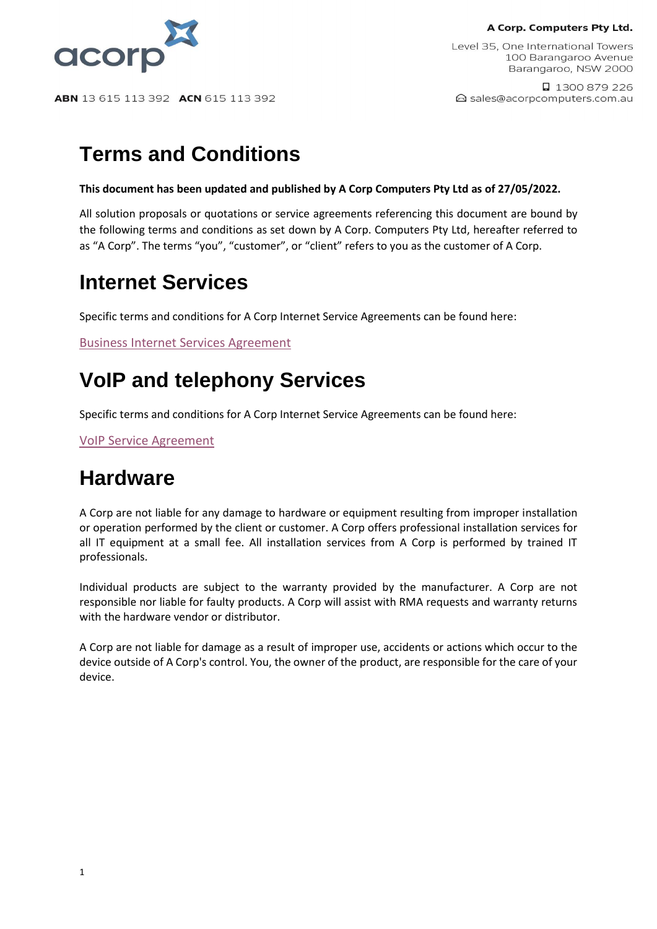A Corp. Computers Pty Ltd.



ABN 13 615 113 392 ACN 615 113 392

Level 35, One International Towers 100 Barangaroo Avenue Barangaroo, NSW 2000

□ 1300 879 226 △ sales@acorpcomputers.com.au

# **Terms and Conditions**

#### **This document has been updated and published by A Corp Computers Pty Ltd as of 27/05/2022.**

All solution proposals or quotations or service agreements referencing this document are bound by the following terms and conditions as set down by A Corp. Computers Pty Ltd, hereafter referred to as "A Corp". The terms "you", "customer", or "client" refers to you as the customer of A Corp.

### **Internet Services**

Specific terms and conditions for A Corp Internet Service Agreements can be found here:

[Business Internet Services Agreement](https://acorpcomputers.com.au/wp-content/uploads/2019/05/STANDARD-Business-Internet-Service-Agreement-Terms-and-Conditions.pdf)

# **VoIP and telephony Services**

Specific terms and conditions for A Corp Internet Service Agreements can be found here:

[VoIP Service Agreement](https://acorpcomputers.com.au/wp-content/uploads/2019/05/STANDARD-Business-VoIP-Service-Agreement-Terms-and-Conditions.pdf)

# **Hardware**

A Corp are not liable for any damage to hardware or equipment resulting from improper installation or operation performed by the client or customer. A Corp offers professional installation services for all IT equipment at a small fee. All installation services from A Corp is performed by trained IT professionals.

Individual products are subject to the warranty provided by the manufacturer. A Corp are not responsible nor liable for faulty products. A Corp will assist with RMA requests and warranty returns with the hardware vendor or distributor.

A Corp are not liable for damage as a result of improper use, accidents or actions which occur to the device outside of A Corp's control. You, the owner of the product, are responsible for the care of your device.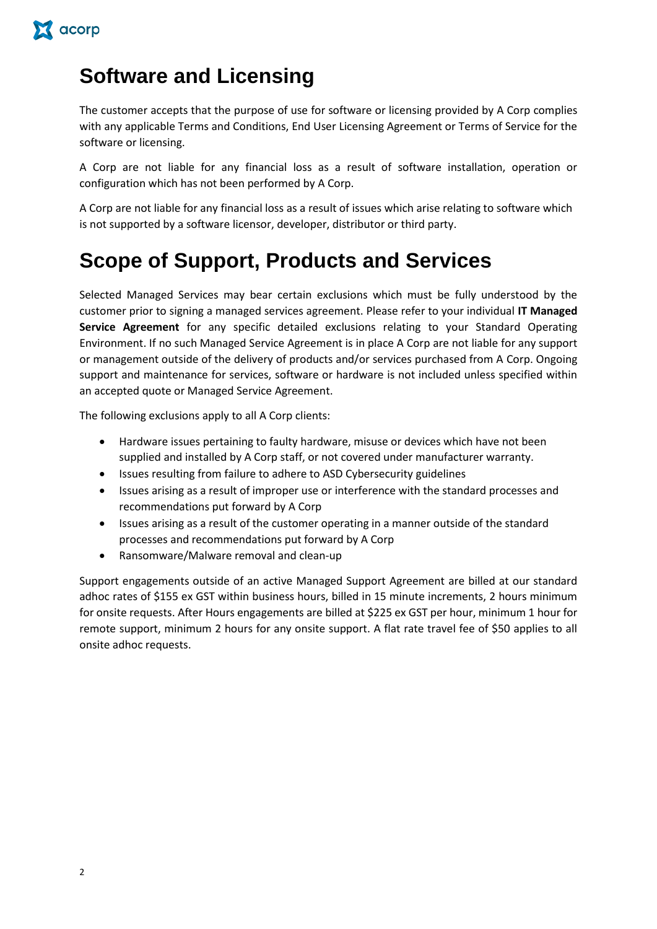

### **Software and Licensing**

The customer accepts that the purpose of use for software or licensing provided by A Corp complies with any applicable Terms and Conditions, End User Licensing Agreement or Terms of Service for the software or licensing.

A Corp are not liable for any financial loss as a result of software installation, operation or configuration which has not been performed by A Corp.

A Corp are not liable for any financial loss as a result of issues which arise relating to software which is not supported by a software licensor, developer, distributor or third party.

## **Scope of Support, Products and Services**

Selected Managed Services may bear certain exclusions which must be fully understood by the customer prior to signing a managed services agreement. Please refer to your individual **IT Managed Service Agreement** for any specific detailed exclusions relating to your Standard Operating Environment. If no such Managed Service Agreement is in place A Corp are not liable for any support or management outside of the delivery of products and/or services purchased from A Corp. Ongoing support and maintenance for services, software or hardware is not included unless specified within an accepted quote or Managed Service Agreement.

The following exclusions apply to all A Corp clients:

- Hardware issues pertaining to faulty hardware, misuse or devices which have not been supplied and installed by A Corp staff, or not covered under manufacturer warranty.
- Issues resulting from failure to adhere to ASD Cybersecurity guidelines
- Issues arising as a result of improper use or interference with the standard processes and recommendations put forward by A Corp
- Issues arising as a result of the customer operating in a manner outside of the standard processes and recommendations put forward by A Corp
- Ransomware/Malware removal and clean-up

Support engagements outside of an active Managed Support Agreement are billed at our standard adhoc rates of \$155 ex GST within business hours, billed in 15 minute increments, 2 hours minimum for onsite requests. After Hours engagements are billed at \$225 ex GST per hour, minimum 1 hour for remote support, minimum 2 hours for any onsite support. A flat rate travel fee of \$50 applies to all onsite adhoc requests.